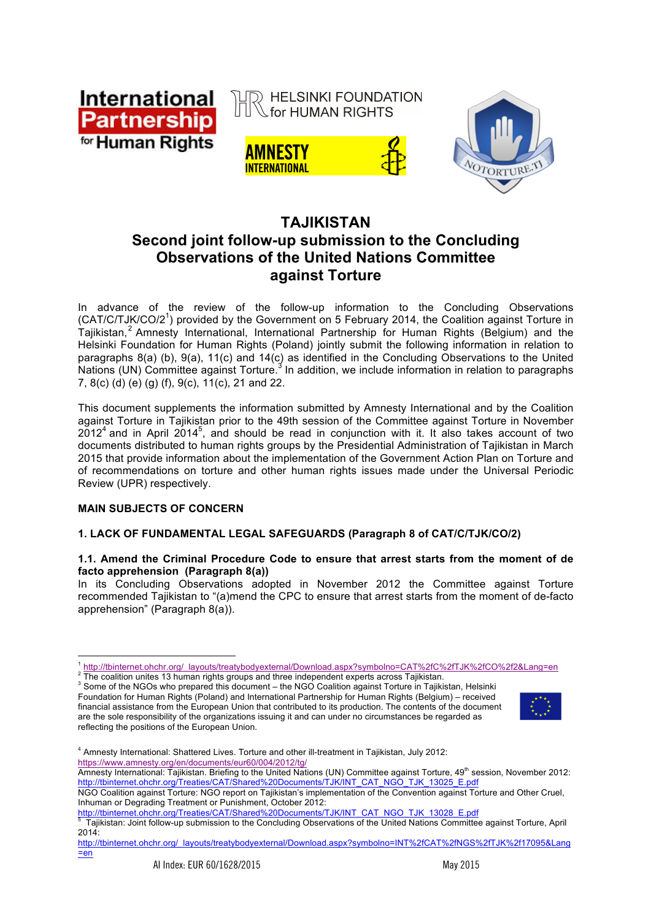

 $\mathcal{D}$  HELSINKI FOUNDATION  $\mathcal L$  for HUMAN RIGHTS





# **TAJIKISTAN Second joint follow-up submission to the Concluding Observations of the United Nations Committee against Torture**

In advance of the review of the follow-up information to the Concluding Observations (CAT/C/TJK/CO/2<sup>1</sup>) provided by the Government on 5 February 2014, the Coalition against Torture in Tajikistan, <sup>2</sup> Amnesty International, International Partnership for Human Rights (Belgium) and the Helsinki Foundation for Human Rights (Poland) jointly submit the following information in relation to paragraphs 8(a) (b), 9(a), 11(c) and 14(c) as identified in the Concluding Observations to the United Nations (UN) Committee against Torture.<sup>3</sup> In addition, we include information in relation to paragraphs 7, 8(c) (d) (e) (g) (f), 9(c), 11(c), 21 and 22.

This document supplements the information submitted by Amnesty International and by the Coalition against Torture in Tajikistan prior to the 49th session of the Committee against Torture in November  $2012<sup>4</sup>$  and in April  $2014<sup>5</sup>$ , and should be read in conjunction with it. It also takes account of two documents distributed to human rights groups by the Presidential Administration of Tajikistan in March 2015 that provide information about the implementation of the Government Action Plan on Torture and of recommendations on torture and other human rights issues made under the Universal Periodic Review (UPR) respectively.

# **MAIN SUBJECTS OF CONCERN**

# **1. LACK OF FUNDAMENTAL LEGAL SAFEGUARDS (Paragraph 8 of CAT/C/TJK/CO/2)**

# **1.1. Amend the Criminal Procedure Code to ensure that arrest starts from the moment of de facto apprehension (Paragraph 8(a))**

In its Concluding Observations adopted in November 2012 the Committee against Torture recommended Tajikistan to "(a)mend the CPC to ensure that arrest starts from the moment of de-facto apprehension" (Paragraph 8(a)).

 $3$  Some of the NGOs who prepared this document – the NGO Coalition against Torture in Tajikistan, Helsinki Foundation for Human Rights (Poland) and International Partnership for Human Rights (Belgium) – received financial assistance from the European Union that contributed to its production. The contents of the document are the sole responsibility of the organizations issuing it and can under no circumstances be regarded as reflecting the positions of the European Union*.*



<sup>4</sup> Amnesty International: Shattered Lives. Torture and other ill-treatment in Tajikistan, July 2012: https://www.amnesty.org/en/documents/eur60/004/2012/tg/

  $^1$  http://tbinternet.ohchr.org/\_layouts/treatybodyexternal/Download.aspx?symbolno=CAT%2fC%2fTJK%2fCO%2f2&Lang=en<br><sup>2</sup> The coalition unites 13 human rights groups and three independent experts across Tajikistan.

Amnesty International: Tajikistan. Briefing to the United Nations (UN) Committee against Torture, 49<sup>th</sup> session, November 2012: http://tbinternet.ohchr.org/Treaties/CAT/Shared%20Documents/TJK/INT\_CAT\_NGO\_TJK\_13025\_E.pdf

NGO Coalition against Torture: NGO report on Tajikistan's implementation of the Convention against Torture and Other Cruel, Inhuman or Degrading Treatment or Punishment, October 2012:

http://tbinternet.ohchr.org/Treaties/CAT/Shared%20Documents/TJK/INT\_CAT\_NGO\_TJK\_13028\_E.pdf<br>5 Toilkisten: Joint follow up oubmission to the Consluding Observations of the United Nations Committe

Tajikistan: Joint follow-up submission to the Concluding Observations of the United Nations Committee against Torture, April  $2014$ 

http://tbinternet.ohchr.org/\_layouts/treatybodyexternal/Download.aspx?symbolno=INT%2fCAT%2fNGS%2fTJK%2f17095&Lang =en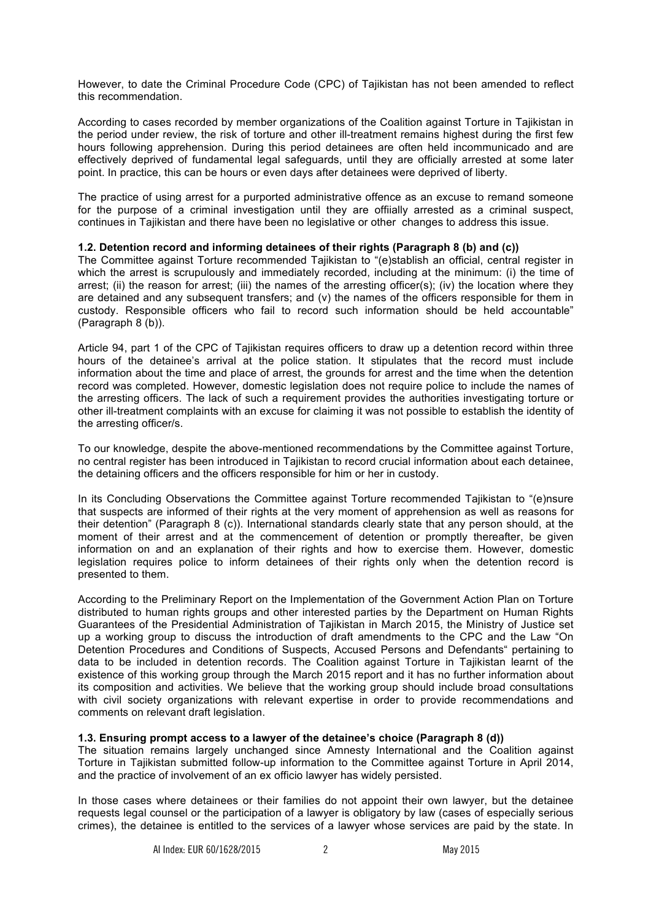However, to date the Criminal Procedure Code (CPC) of Tajikistan has not been amended to reflect this recommendation.

According to cases recorded by member organizations of the Coalition against Torture in Tajikistan in the period under review, the risk of torture and other ill-treatment remains highest during the first few hours following apprehension. During this period detainees are often held incommunicado and are effectively deprived of fundamental legal safeguards, until they are officially arrested at some later point. In practice, this can be hours or even days after detainees were deprived of liberty.

The practice of using arrest for a purported administrative offence as an excuse to remand someone for the purpose of a criminal investigation until they are offiially arrested as a criminal suspect, continues in Tajikistan and there have been no legislative or other changes to address this issue.

# **1.2. Detention record and informing detainees of their rights (Paragraph 8 (b) and (c))**

The Committee against Torture recommended Tajikistan to "(e)stablish an official, central register in which the arrest is scrupulously and immediately recorded, including at the minimum: (i) the time of arrest; (ii) the reason for arrest; (iii) the names of the arresting officer(s); (iv) the location where they are detained and any subsequent transfers; and (v) the names of the officers responsible for them in custody. Responsible officers who fail to record such information should be held accountable" (Paragraph 8 (b)).

Article 94, part 1 of the CPC of Tajikistan requires officers to draw up a detention record within three hours of the detainee's arrival at the police station. It stipulates that the record must include information about the time and place of arrest, the grounds for arrest and the time when the detention record was completed. However, domestic legislation does not require police to include the names of the arresting officers. The lack of such a requirement provides the authorities investigating torture or other ill-treatment complaints with an excuse for claiming it was not possible to establish the identity of the arresting officer/s.

To our knowledge, despite the above-mentioned recommendations by the Committee against Torture, no central register has been introduced in Tajikistan to record crucial information about each detainee, the detaining officers and the officers responsible for him or her in custody.

In its Concluding Observations the Committee against Torture recommended Tajikistan to "(e)nsure that suspects are informed of their rights at the very moment of apprehension as well as reasons for their detention" (Paragraph 8 (c)). International standards clearly state that any person should, at the moment of their arrest and at the commencement of detention or promptly thereafter, be given information on and an explanation of their rights and how to exercise them. However, domestic legislation requires police to inform detainees of their rights only when the detention record is presented to them.

According to the Preliminary Report on the Implementation of the Government Action Plan on Torture distributed to human rights groups and other interested parties by the Department on Human Rights Guarantees of the Presidential Administration of Tajikistan in March 2015, the Ministry of Justice set up a working group to discuss the introduction of draft amendments to the CPC and the Law "On Detention Procedures and Conditions of Suspects, Accused Persons and Defendants" pertaining to data to be included in detention records. The Coalition against Torture in Tajikistan learnt of the existence of this working group through the March 2015 report and it has no further information about its composition and activities. We believe that the working group should include broad consultations with civil society organizations with relevant expertise in order to provide recommendations and comments on relevant draft legislation.

#### **1.3. Ensuring prompt access to a lawyer of the detainee's choice (Paragraph 8 (d))**

The situation remains largely unchanged since Amnesty International and the Coalition against Torture in Tajikistan submitted follow-up information to the Committee against Torture in April 2014, and the practice of involvement of an ex officio lawyer has widely persisted.

In those cases where detainees or their families do not appoint their own lawyer, but the detainee requests legal counsel or the participation of a lawyer is obligatory by law (cases of especially serious crimes), the detainee is entitled to the services of a lawyer whose services are paid by the state. In

AI Index: EUR 60/1628/2015 2 2 May 2015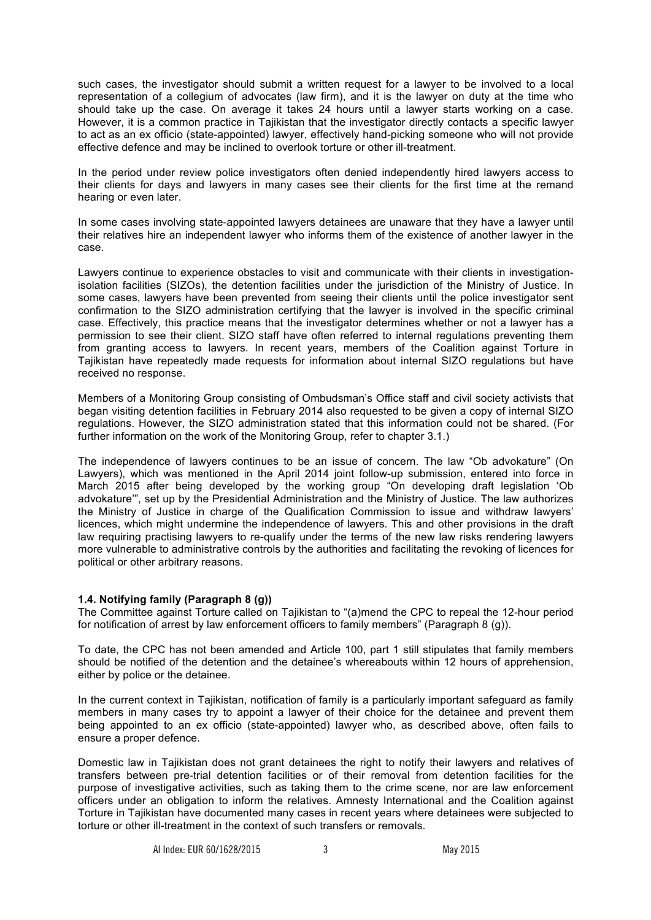such cases, the investigator should submit a written request for a lawyer to be involved to a local representation of a collegium of advocates (law firm), and it is the lawyer on duty at the time who should take up the case. On average it takes 24 hours until a lawyer starts working on a case. However, it is a common practice in Tajikistan that the investigator directly contacts a specific lawyer to act as an ex officio (state-appointed) lawyer, effectively hand-picking someone who will not provide effective defence and may be inclined to overlook torture or other ill-treatment.

In the period under review police investigators often denied independently hired lawyers access to their clients for days and lawyers in many cases see their clients for the first time at the remand hearing or even later.

In some cases involving state-appointed lawyers detainees are unaware that they have a lawyer until their relatives hire an independent lawyer who informs them of the existence of another lawyer in the case.

Lawyers continue to experience obstacles to visit and communicate with their clients in investigationisolation facilities (SIZOs), the detention facilities under the jurisdiction of the Ministry of Justice. In some cases, lawyers have been prevented from seeing their clients until the police investigator sent confirmation to the SIZO administration certifying that the lawyer is involved in the specific criminal case. Effectively, this practice means that the investigator determines whether or not a lawyer has a permission to see their client. SIZO staff have often referred to internal regulations preventing them from granting access to lawyers. In recent years, members of the Coalition against Torture in Tajikistan have repeatedly made requests for information about internal SIZO regulations but have received no response.

Members of a Monitoring Group consisting of Ombudsman's Office staff and civil society activists that began visiting detention facilities in February 2014 also requested to be given a copy of internal SIZO regulations. However, the SIZO administration stated that this information could not be shared. (For further information on the work of the Monitoring Group, refer to chapter 3.1.)

The independence of lawyers continues to be an issue of concern. The law "Ob advokature" (On Lawyers), which was mentioned in the April 2014 joint follow-up submission, entered into force in March 2015 after being developed by the working group "On developing draft legislation 'Ob advokature'", set up by the Presidential Administration and the Ministry of Justice. The law authorizes the Ministry of Justice in charge of the Qualification Commission to issue and withdraw lawyers' licences, which might undermine the independence of lawyers. This and other provisions in the draft law requiring practising lawyers to re-qualify under the terms of the new law risks rendering lawyers more vulnerable to administrative controls by the authorities and facilitating the revoking of licences for political or other arbitrary reasons.

# **1.4. Notifying family (Paragraph 8 (g))**

The Committee against Torture called on Tajikistan to "(a)mend the CPC to repeal the 12-hour period for notification of arrest by law enforcement officers to family members" (Paragraph 8 (g)).

To date, the CPC has not been amended and Article 100, part 1 still stipulates that family members should be notified of the detention and the detainee's whereabouts within 12 hours of apprehension, either by police or the detainee.

In the current context in Tajikistan, notification of family is a particularly important safeguard as family members in many cases try to appoint a lawyer of their choice for the detainee and prevent them being appointed to an ex officio (state-appointed) lawyer who, as described above, often fails to ensure a proper defence.

Domestic law in Tajikistan does not grant detainees the right to notify their lawyers and relatives of transfers between pre-trial detention facilities or of their removal from detention facilities for the purpose of investigative activities, such as taking them to the crime scene, nor are law enforcement officers under an obligation to inform the relatives. Amnesty International and the Coalition against Torture in Tajikistan have documented many cases in recent years where detainees were subjected to torture or other ill-treatment in the context of such transfers or removals.

AI Index: EUR 60/1628/2015 3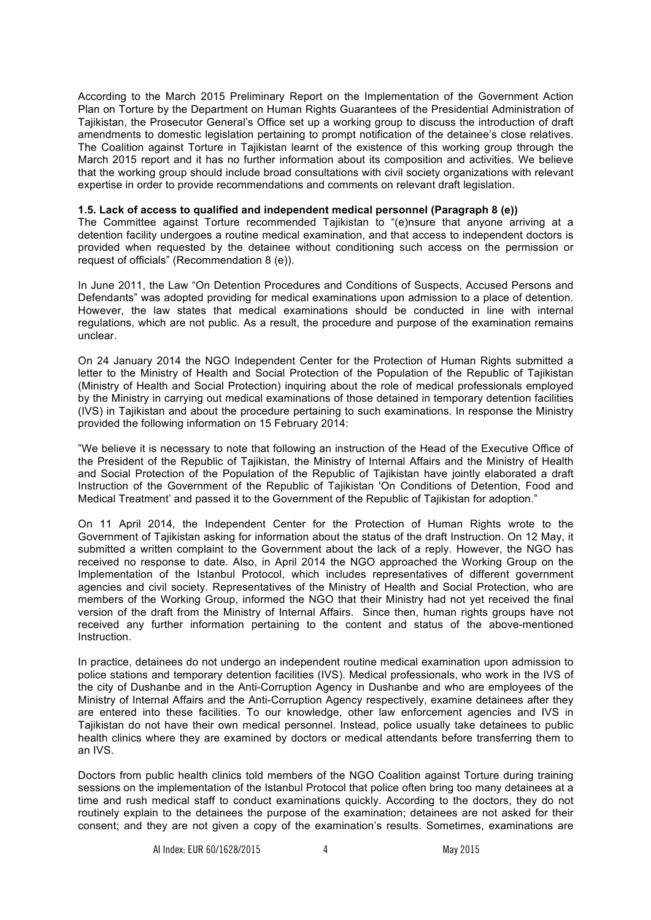According to the March 2015 Preliminary Report on the Implementation of the Government Action Plan on Torture by the Department on Human Rights Guarantees of the Presidential Administration of Tajikistan, the Prosecutor General's Office set up a working group to discuss the introduction of draft amendments to domestic legislation pertaining to prompt notification of the detainee's close relatives. The Coalition against Torture in Tajikistan learnt of the existence of this working group through the March 2015 report and it has no further information about its composition and activities. We believe that the working group should include broad consultations with civil society organizations with relevant expertise in order to provide recommendations and comments on relevant draft legislation.

# **1.5. Lack of access to qualified and independent medical personnel (Paragraph 8 (e))**

The Committee against Torture recommended Tajikistan to "(e)nsure that anyone arriving at a detention facility undergoes a routine medical examination, and that access to independent doctors is provided when requested by the detainee without conditioning such access on the permission or request of officials" (Recommendation 8 (e)).

In June 2011, the Law "On Detention Procedures and Conditions of Suspects, Accused Persons and Defendants" was adopted providing for medical examinations upon admission to a place of detention. However, the law states that medical examinations should be conducted in line with internal regulations, which are not public. As a result, the procedure and purpose of the examination remains unclear.

On 24 January 2014 the NGO Independent Center for the Protection of Human Rights submitted a letter to the Ministry of Health and Social Protection of the Population of the Republic of Tajikistan (Ministry of Health and Social Protection) inquiring about the role of medical professionals employed by the Ministry in carrying out medical examinations of those detained in temporary detention facilities (IVS) in Tajikistan and about the procedure pertaining to such examinations. In response the Ministry provided the following information on 15 February 2014:

"We believe it is necessary to note that following an instruction of the Head of the Executive Office of the President of the Republic of Tajikistan, the Ministry of Internal Affairs and the Ministry of Health and Social Protection of the Population of the Republic of Tajikistan have jointly elaborated a draft Instruction of the Government of the Republic of Tajikistan 'On Conditions of Detention, Food and Medical Treatment' and passed it to the Government of the Republic of Tajikistan for adoption."

On 11 April 2014, the Independent Center for the Protection of Human Rights wrote to the Government of Tajikistan asking for information about the status of the draft Instruction. On 12 May, it submitted a written complaint to the Government about the lack of a reply. However, the NGO has received no response to date. Also, in April 2014 the NGO approached the Working Group on the Implementation of the Istanbul Protocol, which includes representatives of different government agencies and civil society. Representatives of the Ministry of Health and Social Protection, who are members of the Working Group, informed the NGO that their Ministry had not yet received the final version of the draft from the Ministry of Internal Affairs. Since then, human rights groups have not received any further information pertaining to the content and status of the above-mentioned Instruction.

In practice, detainees do not undergo an independent routine medical examination upon admission to police stations and temporary detention facilities (IVS). Medical professionals, who work in the IVS of the city of Dushanbe and in the Anti-Corruption Agency in Dushanbe and who are employees of the Ministry of Internal Affairs and the Anti-Corruption Agency respectively, examine detainees after they are entered into these facilities. To our knowledge, other law enforcement agencies and IVS in Tajikistan do not have their own medical personnel. Instead, police usually take detainees to public health clinics where they are examined by doctors or medical attendants before transferring them to an IVS.

Doctors from public health clinics told members of the NGO Coalition against Torture during training sessions on the implementation of the Istanbul Protocol that police often bring too many detainees at a time and rush medical staff to conduct examinations quickly. According to the doctors, they do not routinely explain to the detainees the purpose of the examination; detainees are not asked for their consent; and they are not given a copy of the examination's results. Sometimes, examinations are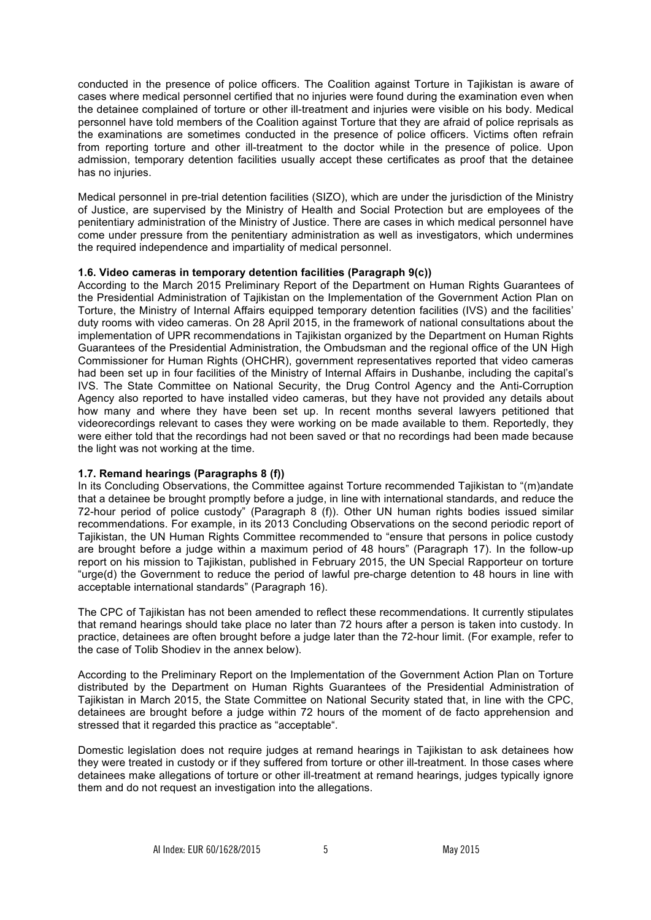conducted in the presence of police officers. The Coalition against Torture in Tajikistan is aware of cases where medical personnel certified that no injuries were found during the examination even when the detainee complained of torture or other ill-treatment and injuries were visible on his body. Medical personnel have told members of the Coalition against Torture that they are afraid of police reprisals as the examinations are sometimes conducted in the presence of police officers. Victims often refrain from reporting torture and other ill-treatment to the doctor while in the presence of police. Upon admission, temporary detention facilities usually accept these certificates as proof that the detainee has no injuries.

Medical personnel in pre-trial detention facilities (SIZO), which are under the jurisdiction of the Ministry of Justice, are supervised by the Ministry of Health and Social Protection but are employees of the penitentiary administration of the Ministry of Justice. There are cases in which medical personnel have come under pressure from the penitentiary administration as well as investigators, which undermines the required independence and impartiality of medical personnel.

# **1.6. Video cameras in temporary detention facilities (Paragraph 9(c))**

According to the March 2015 Preliminary Report of the Department on Human Rights Guarantees of the Presidential Administration of Tajikistan on the Implementation of the Government Action Plan on Torture, the Ministry of Internal Affairs equipped temporary detention facilities (IVS) and the facilities' duty rooms with video cameras. On 28 April 2015, in the framework of national consultations about the implementation of UPR recommendations in Tajikistan organized by the Department on Human Rights Guarantees of the Presidential Administration, the Ombudsman and the regional office of the UN High Commissioner for Human Rights (OHCHR), government representatives reported that video cameras had been set up in four facilities of the Ministry of Internal Affairs in Dushanbe, including the capital's IVS. The State Committee on National Security, the Drug Control Agency and the Anti-Corruption Agency also reported to have installed video cameras, but they have not provided any details about how many and where they have been set up. In recent months several lawyers petitioned that videorecordings relevant to cases they were working on be made available to them. Reportedly, they were either told that the recordings had not been saved or that no recordings had been made because the light was not working at the time.

# **1.7. Remand hearings (Paragraphs 8 (f))**

In its Concluding Observations, the Committee against Torture recommended Tajikistan to "(m)andate that a detainee be brought promptly before a judge, in line with international standards, and reduce the 72-hour period of police custody" (Paragraph 8 (f)). Other UN human rights bodies issued similar recommendations. For example, in its 2013 Concluding Observations on the second periodic report of Tajikistan, the UN Human Rights Committee recommended to "ensure that persons in police custody are brought before a judge within a maximum period of 48 hours" (Paragraph 17). In the follow-up report on his mission to Tajikistan, published in February 2015, the UN Special Rapporteur on torture "urge(d) the Government to reduce the period of lawful pre-charge detention to 48 hours in line with acceptable international standards" (Paragraph 16).

The CPC of Tajikistan has not been amended to reflect these recommendations. It currently stipulates that remand hearings should take place no later than 72 hours after a person is taken into custody. In practice, detainees are often brought before a judge later than the 72-hour limit. (For example, refer to the case of Tolib Shodiev in the annex below).

According to the Preliminary Report on the Implementation of the Government Action Plan on Torture distributed by the Department on Human Rights Guarantees of the Presidential Administration of Tajikistan in March 2015, the State Committee on National Security stated that, in line with the CPC, detainees are brought before a judge within 72 hours of the moment of de facto apprehension and stressed that it regarded this practice as "acceptable".

Domestic legislation does not require judges at remand hearings in Tajikistan to ask detainees how they were treated in custody or if they suffered from torture or other ill-treatment. In those cases where detainees make allegations of torture or other ill-treatment at remand hearings, judges typically ignore them and do not request an investigation into the allegations.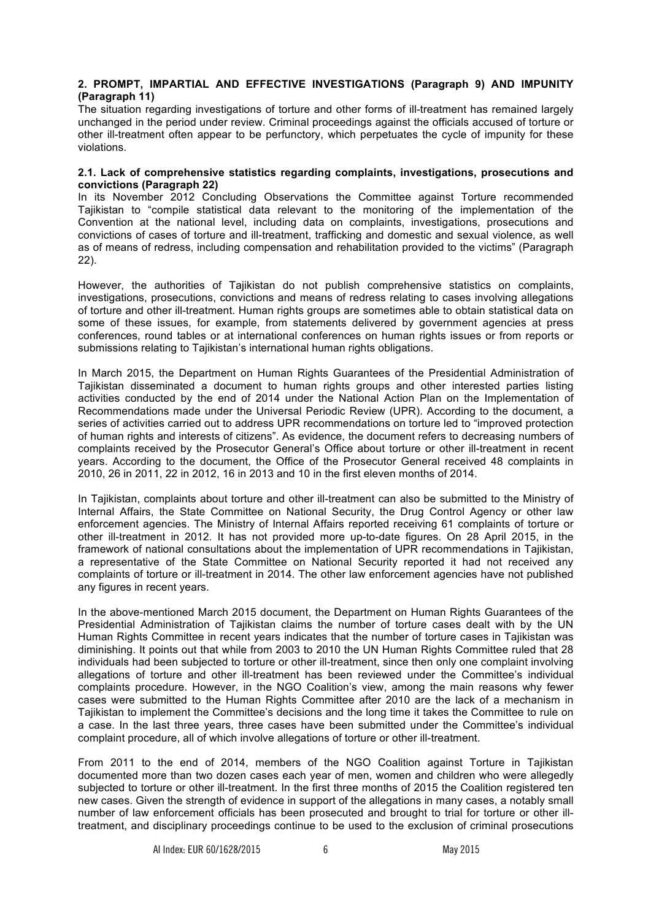# **2. PROMPT, IMPARTIAL AND EFFECTIVE INVESTIGATIONS (Paragraph 9) AND IMPUNITY (Paragraph 11)**

The situation regarding investigations of torture and other forms of ill-treatment has remained largely unchanged in the period under review. Criminal proceedings against the officials accused of torture or other ill-treatment often appear to be perfunctory, which perpetuates the cycle of impunity for these violations.

#### **2.1. Lack of comprehensive statistics regarding complaints, investigations, prosecutions and convictions (Paragraph 22)**

In its November 2012 Concluding Observations the Committee against Torture recommended Tajikistan to "compile statistical data relevant to the monitoring of the implementation of the Convention at the national level, including data on complaints, investigations, prosecutions and convictions of cases of torture and ill-treatment, trafficking and domestic and sexual violence, as well as of means of redress, including compensation and rehabilitation provided to the victims" (Paragraph 22).

However, the authorities of Tajikistan do not publish comprehensive statistics on complaints, investigations, prosecutions, convictions and means of redress relating to cases involving allegations of torture and other ill-treatment. Human rights groups are sometimes able to obtain statistical data on some of these issues, for example, from statements delivered by government agencies at press conferences, round tables or at international conferences on human rights issues or from reports or submissions relating to Tajikistan's international human rights obligations.

In March 2015, the Department on Human Rights Guarantees of the Presidential Administration of Tajikistan disseminated a document to human rights groups and other interested parties listing activities conducted by the end of 2014 under the National Action Plan on the Implementation of Recommendations made under the Universal Periodic Review (UPR). According to the document, a series of activities carried out to address UPR recommendations on torture led to "improved protection of human rights and interests of citizens". As evidence, the document refers to decreasing numbers of complaints received by the Prosecutor General's Office about torture or other ill-treatment in recent years. According to the document, the Office of the Prosecutor General received 48 complaints in 2010, 26 in 2011, 22 in 2012, 16 in 2013 and 10 in the first eleven months of 2014.

In Tajikistan, complaints about torture and other ill-treatment can also be submitted to the Ministry of Internal Affairs, the State Committee on National Security, the Drug Control Agency or other law enforcement agencies. The Ministry of Internal Affairs reported receiving 61 complaints of torture or other ill-treatment in 2012. It has not provided more up-to-date figures. On 28 April 2015, in the framework of national consultations about the implementation of UPR recommendations in Tajikistan, a representative of the State Committee on National Security reported it had not received any complaints of torture or ill-treatment in 2014. The other law enforcement agencies have not published any figures in recent years.

In the above-mentioned March 2015 document, the Department on Human Rights Guarantees of the Presidential Administration of Tajikistan claims the number of torture cases dealt with by the UN Human Rights Committee in recent years indicates that the number of torture cases in Tajikistan was diminishing. It points out that while from 2003 to 2010 the UN Human Rights Committee ruled that 28 individuals had been subjected to torture or other ill-treatment, since then only one complaint involving allegations of torture and other ill-treatment has been reviewed under the Committee's individual complaints procedure. However, in the NGO Coalition's view, among the main reasons why fewer cases were submitted to the Human Rights Committee after 2010 are the lack of a mechanism in Tajikistan to implement the Committee's decisions and the long time it takes the Committee to rule on a case. In the last three years, three cases have been submitted under the Committee's individual complaint procedure, all of which involve allegations of torture or other ill-treatment.

From 2011 to the end of 2014, members of the NGO Coalition against Torture in Tajikistan documented more than two dozen cases each year of men, women and children who were allegedly subjected to torture or other ill-treatment. In the first three months of 2015 the Coalition registered ten new cases. Given the strength of evidence in support of the allegations in many cases, a notably small number of law enforcement officials has been prosecuted and brought to trial for torture or other illtreatment, and disciplinary proceedings continue to be used to the exclusion of criminal prosecutions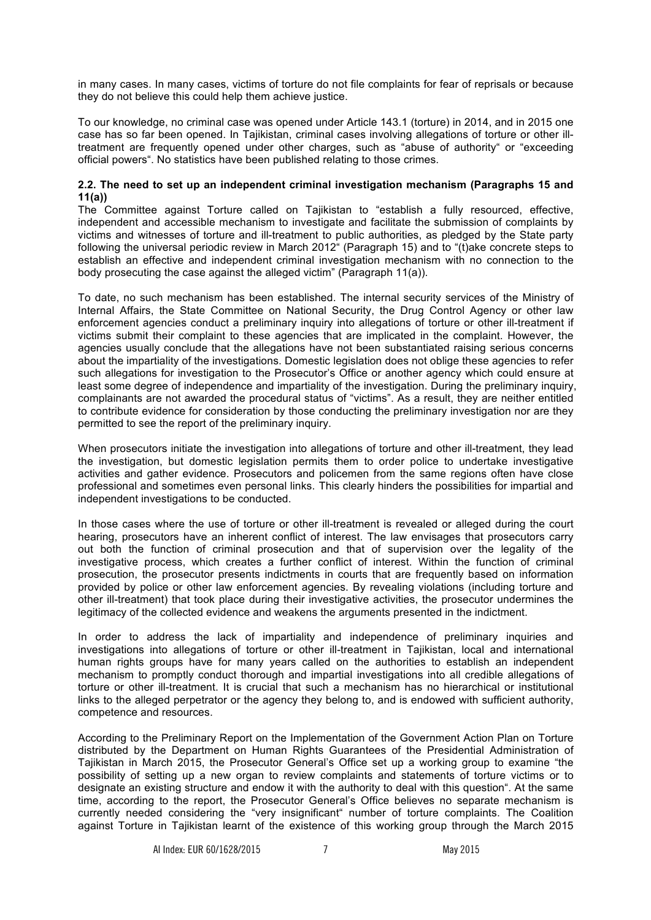in many cases. In many cases, victims of torture do not file complaints for fear of reprisals or because they do not believe this could help them achieve justice.

To our knowledge, no criminal case was opened under Article 143.1 (torture) in 2014, and in 2015 one case has so far been opened. In Tajikistan, criminal cases involving allegations of torture or other illtreatment are frequently opened under other charges, such as "abuse of authority" or "exceeding official powers". No statistics have been published relating to those crimes.

## **2.2. The need to set up an independent criminal investigation mechanism (Paragraphs 15 and 11(a))**

The Committee against Torture called on Tajikistan to "establish a fully resourced, effective, independent and accessible mechanism to investigate and facilitate the submission of complaints by victims and witnesses of torture and ill-treatment to public authorities, as pledged by the State party following the universal periodic review in March 2012" (Paragraph 15) and to "(t)ake concrete steps to establish an effective and independent criminal investigation mechanism with no connection to the body prosecuting the case against the alleged victim" (Paragraph 11(a)).

To date, no such mechanism has been established. The internal security services of the Ministry of Internal Affairs, the State Committee on National Security, the Drug Control Agency or other law enforcement agencies conduct a preliminary inquiry into allegations of torture or other ill-treatment if victims submit their complaint to these agencies that are implicated in the complaint. However, the agencies usually conclude that the allegations have not been substantiated raising serious concerns about the impartiality of the investigations. Domestic legislation does not oblige these agencies to refer such allegations for investigation to the Prosecutor's Office or another agency which could ensure at least some degree of independence and impartiality of the investigation. During the preliminary inquiry, complainants are not awarded the procedural status of "victims". As a result, they are neither entitled to contribute evidence for consideration by those conducting the preliminary investigation nor are they permitted to see the report of the preliminary inquiry.

When prosecutors initiate the investigation into allegations of torture and other ill-treatment, they lead the investigation, but domestic legislation permits them to order police to undertake investigative activities and gather evidence. Prosecutors and policemen from the same regions often have close professional and sometimes even personal links. This clearly hinders the possibilities for impartial and independent investigations to be conducted.

In those cases where the use of torture or other ill-treatment is revealed or alleged during the court hearing, prosecutors have an inherent conflict of interest. The law envisages that prosecutors carry out both the function of criminal prosecution and that of supervision over the legality of the investigative process, which creates a further conflict of interest. Within the function of criminal prosecution, the prosecutor presents indictments in courts that are frequently based on information provided by police or other law enforcement agencies. By revealing violations (including torture and other ill-treatment) that took place during their investigative activities, the prosecutor undermines the legitimacy of the collected evidence and weakens the arguments presented in the indictment.

In order to address the lack of impartiality and independence of preliminary inquiries and investigations into allegations of torture or other ill-treatment in Tajikistan, local and international human rights groups have for many years called on the authorities to establish an independent mechanism to promptly conduct thorough and impartial investigations into all credible allegations of torture or other ill-treatment. It is crucial that such a mechanism has no hierarchical or institutional links to the alleged perpetrator or the agency they belong to, and is endowed with sufficient authority, competence and resources.

According to the Preliminary Report on the Implementation of the Government Action Plan on Torture distributed by the Department on Human Rights Guarantees of the Presidential Administration of Tajikistan in March 2015, the Prosecutor General's Office set up a working group to examine "the possibility of setting up a new organ to review complaints and statements of torture victims or to designate an existing structure and endow it with the authority to deal with this question". At the same time, according to the report, the Prosecutor General's Office believes no separate mechanism is currently needed considering the "very insignificant" number of torture complaints. The Coalition against Torture in Tajikistan learnt of the existence of this working group through the March 2015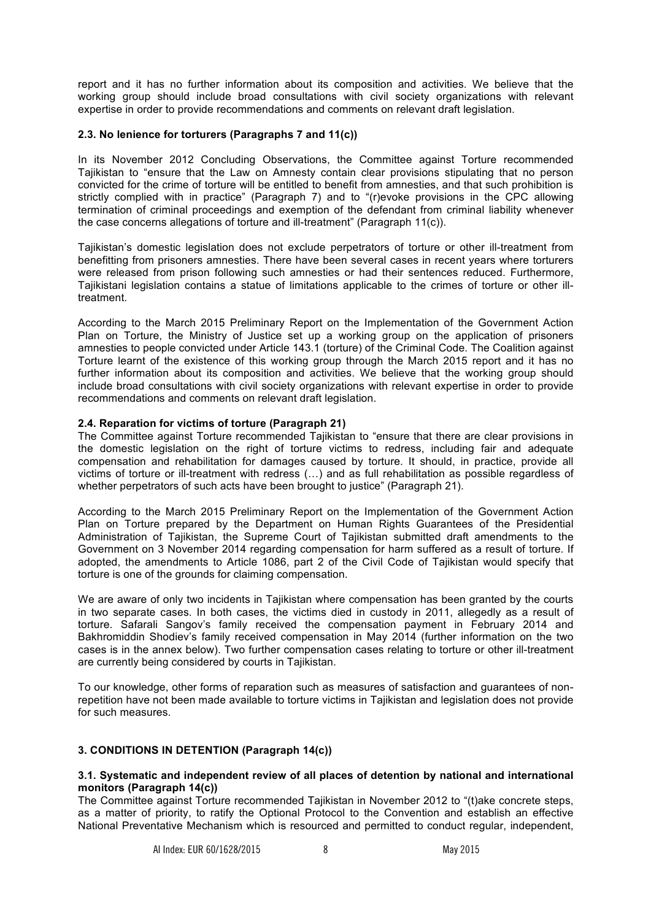report and it has no further information about its composition and activities. We believe that the working group should include broad consultations with civil society organizations with relevant expertise in order to provide recommendations and comments on relevant draft legislation.

# **2.3. No lenience for torturers (Paragraphs 7 and 11(c))**

In its November 2012 Concluding Observations, the Committee against Torture recommended Tajikistan to "ensure that the Law on Amnesty contain clear provisions stipulating that no person convicted for the crime of torture will be entitled to benefit from amnesties, and that such prohibition is strictly complied with in practice" (Paragraph 7) and to "(r)evoke provisions in the CPC allowing termination of criminal proceedings and exemption of the defendant from criminal liability whenever the case concerns allegations of torture and ill-treatment" (Paragraph 11(c)).

Tajikistan's domestic legislation does not exclude perpetrators of torture or other ill-treatment from benefitting from prisoners amnesties. There have been several cases in recent years where torturers were released from prison following such amnesties or had their sentences reduced. Furthermore, Tajikistani legislation contains a statue of limitations applicable to the crimes of torture or other illtreatment.

According to the March 2015 Preliminary Report on the Implementation of the Government Action Plan on Torture, the Ministry of Justice set up a working group on the application of prisoners amnesties to people convicted under Article 143.1 (torture) of the Criminal Code. The Coalition against Torture learnt of the existence of this working group through the March 2015 report and it has no further information about its composition and activities. We believe that the working group should include broad consultations with civil society organizations with relevant expertise in order to provide recommendations and comments on relevant draft legislation.

# **2.4. Reparation for victims of torture (Paragraph 21)**

The Committee against Torture recommended Tajikistan to "ensure that there are clear provisions in the domestic legislation on the right of torture victims to redress, including fair and adequate compensation and rehabilitation for damages caused by torture. It should, in practice, provide all victims of torture or ill-treatment with redress (…) and as full rehabilitation as possible regardless of whether perpetrators of such acts have been brought to justice" (Paragraph 21).

According to the March 2015 Preliminary Report on the Implementation of the Government Action Plan on Torture prepared by the Department on Human Rights Guarantees of the Presidential Administration of Tajikistan, the Supreme Court of Tajikistan submitted draft amendments to the Government on 3 November 2014 regarding compensation for harm suffered as a result of torture. If adopted, the amendments to Article 1086, part 2 of the Civil Code of Tajikistan would specify that torture is one of the grounds for claiming compensation.

We are aware of only two incidents in Tajikistan where compensation has been granted by the courts in two separate cases. In both cases, the victims died in custody in 2011, allegedly as a result of torture. Safarali Sangov's family received the compensation payment in February 2014 and Bakhromiddin Shodiev's family received compensation in May 2014 (further information on the two cases is in the annex below). Two further compensation cases relating to torture or other ill-treatment are currently being considered by courts in Tajikistan.

To our knowledge, other forms of reparation such as measures of satisfaction and guarantees of nonrepetition have not been made available to torture victims in Tajikistan and legislation does not provide for such measures.

# **3. CONDITIONS IN DETENTION (Paragraph 14(c))**

#### **3.1. Systematic and independent review of all places of detention by national and international monitors (Paragraph 14(c))**

The Committee against Torture recommended Tajikistan in November 2012 to "(t)ake concrete steps, as a matter of priority, to ratify the Optional Protocol to the Convention and establish an effective National Preventative Mechanism which is resourced and permitted to conduct regular, independent,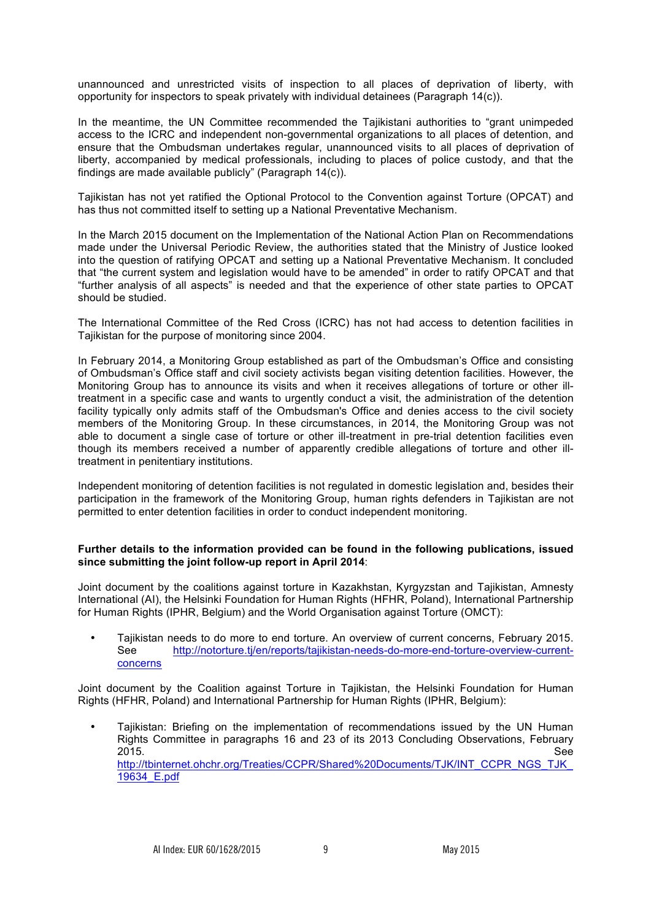unannounced and unrestricted visits of inspection to all places of deprivation of liberty, with opportunity for inspectors to speak privately with individual detainees (Paragraph 14(c)).

In the meantime, the UN Committee recommended the Tajikistani authorities to "grant unimpeded access to the ICRC and independent non-governmental organizations to all places of detention, and ensure that the Ombudsman undertakes regular, unannounced visits to all places of deprivation of liberty, accompanied by medical professionals, including to places of police custody, and that the findings are made available publicly" (Paragraph 14(c)).

Tajikistan has not yet ratified the Optional Protocol to the Convention against Torture (OPCAT) and has thus not committed itself to setting up a National Preventative Mechanism.

In the March 2015 document on the Implementation of the National Action Plan on Recommendations made under the Universal Periodic Review, the authorities stated that the Ministry of Justice looked into the question of ratifying OPCAT and setting up a National Preventative Mechanism. It concluded that "the current system and legislation would have to be amended" in order to ratify OPCAT and that "further analysis of all aspects" is needed and that the experience of other state parties to OPCAT should be studied.

The International Committee of the Red Cross (ICRC) has not had access to detention facilities in Tajikistan for the purpose of monitoring since 2004.

In February 2014, a Monitoring Group established as part of the Ombudsman's Office and consisting of Ombudsman's Office staff and civil society activists began visiting detention facilities. However, the Monitoring Group has to announce its visits and when it receives allegations of torture or other illtreatment in a specific case and wants to urgently conduct a visit, the administration of the detention facility typically only admits staff of the Ombudsman's Office and denies access to the civil society members of the Monitoring Group. In these circumstances, in 2014, the Monitoring Group was not able to document a single case of torture or other ill-treatment in pre-trial detention facilities even though its members received a number of apparently credible allegations of torture and other illtreatment in penitentiary institutions.

Independent monitoring of detention facilities is not regulated in domestic legislation and, besides their participation in the framework of the Monitoring Group, human rights defenders in Tajikistan are not permitted to enter detention facilities in order to conduct independent monitoring.

# **Further details to the information provided can be found in the following publications, issued since submitting the joint follow-up report in April 2014**:

Joint document by the coalitions against torture in Kazakhstan, Kyrgyzstan and Tajikistan, Amnesty International (AI), the Helsinki Foundation for Human Rights (HFHR, Poland), International Partnership for Human Rights (IPHR, Belgium) and the World Organisation against Torture (OMCT):

Tajikistan needs to do more to end torture. An overview of current concerns, February 2015.<br>See http://notorture.ti/en/reports/taiikistan-needs-do-more-end-torture-overview-currenthttp://notorture.tj/en/reports/tajikistan-needs-do-more-end-torture-overview-currentconcerns

Joint document by the Coalition against Torture in Tajikistan, the Helsinki Foundation for Human Rights (HFHR, Poland) and International Partnership for Human Rights (IPHR, Belgium):

• Tajikistan: Briefing on the implementation of recommendations issued by the UN Human Rights Committee in paragraphs 16 and 23 of its 2013 Concluding Observations, February 2015. See http://tbinternet.ohchr.org/Treaties/CCPR/Shared%20Documents/TJK/INT\_CCPR\_NGS\_TJK\_ 19634\_E.pdf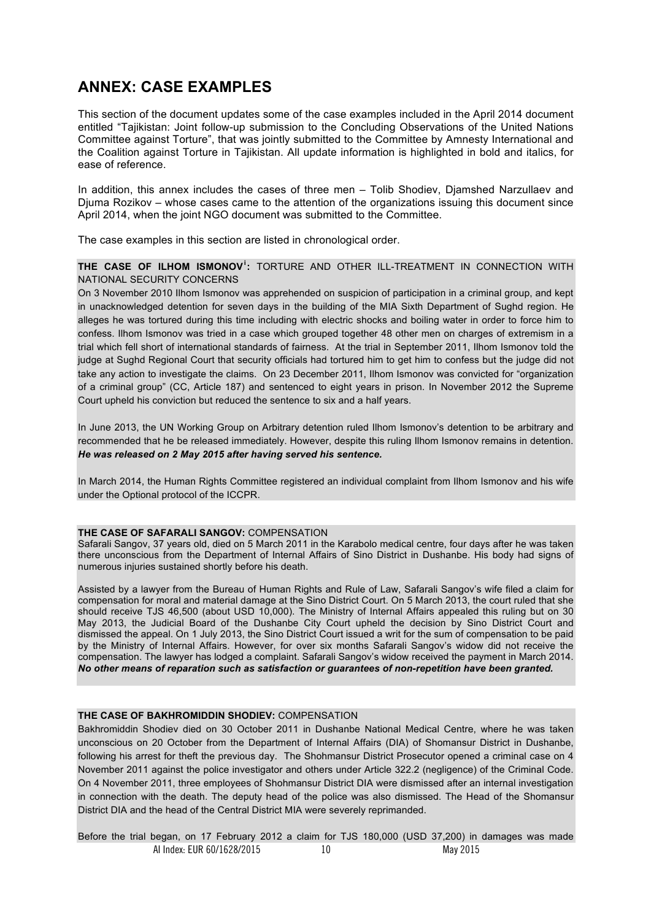# **ANNEX: CASE EXAMPLES**

This section of the document updates some of the case examples included in the April 2014 document entitled "Tajikistan: Joint follow-up submission to the Concluding Observations of the United Nations Committee against Torture", that was jointly submitted to the Committee by Amnesty International and the Coalition against Torture in Tajikistan. All update information is highlighted in bold and italics, for ease of reference.

In addition, this annex includes the cases of three men – Tolib Shodiev, Djamshed Narzullaev and Djuma Rozikov – whose cases came to the attention of the organizations issuing this document since April 2014, when the joint NGO document was submitted to the Committee.

The case examples in this section are listed in chronological order.

**THE CASE OF ILHOM ISMONOV<sup>i</sup> :** TORTURE AND OTHER ILL-TREATMENT IN CONNECTION WITH NATIONAL SECURITY CONCERNS

On 3 November 2010 Ilhom Ismonov was apprehended on suspicion of participation in a criminal group, and kept in unacknowledged detention for seven days in the building of the MIA Sixth Department of Sughd region. He alleges he was tortured during this time including with electric shocks and boiling water in order to force him to confess. Ilhom Ismonov was tried in a case which grouped together 48 other men on charges of extremism in a trial which fell short of international standards of fairness. At the trial in September 2011, Ilhom Ismonov told the judge at Sughd Regional Court that security officials had tortured him to get him to confess but the judge did not take any action to investigate the claims. On 23 December 2011, Ilhom Ismonov was convicted for "organization of a criminal group" (CC, Article 187) and sentenced to eight years in prison. In November 2012 the Supreme Court upheld his conviction but reduced the sentence to six and a half years.

In June 2013, the UN Working Group on Arbitrary detention ruled Ilhom Ismonov's detention to be arbitrary and recommended that he be released immediately. However, despite this ruling Ilhom Ismonov remains in detention. *He was released on 2 May 2015 after having served his sentence.* 

In March 2014, the Human Rights Committee registered an individual complaint from Ilhom Ismonov and his wife under the Optional protocol of the ICCPR.

#### **THE CASE OF SAFARALI SANGOV:** COMPENSATION

Safarali Sangov, 37 years old, died on 5 March 2011 in the Karabolo medical centre, four days after he was taken there unconscious from the Department of Internal Affairs of Sino District in Dushanbe. His body had signs of numerous injuries sustained shortly before his death.

Assisted by a lawyer from the Bureau of Human Rights and Rule of Law, Safarali Sangov's wife filed a claim for compensation for moral and material damage at the Sino District Court. On 5 March 2013, the court ruled that she should receive TJS 46,500 (about USD 10,000). The Ministry of Internal Affairs appealed this ruling but on 30 May 2013, the Judicial Board of the Dushanbe City Court upheld the decision by Sino District Court and dismissed the appeal. On 1 July 2013, the Sino District Court issued a writ for the sum of compensation to be paid by the Ministry of Internal Affairs. However, for over six months Safarali Sangov's widow did not receive the compensation. The lawyer has lodged a complaint. Safarali Sangov's widow received the payment in March 2014. *No other means of reparation such as satisfaction or guarantees of non-repetition have been granted.*

#### **THE CASE OF BAKHROMIDDIN SHODIEV:** COMPENSATION

Bakhromiddin Shodiev died on 30 October 2011 in Dushanbe National Medical Centre, where he was taken unconscious on 20 October from the Department of Internal Affairs (DIA) of Shomansur District in Dushanbe, following his arrest for theft the previous day. The Shohmansur District Prosecutor opened a criminal case on 4 November 2011 against the police investigator and others under Article 322.2 (negligence) of the Criminal Code. On 4 November 2011, three employees of Shohmansur District DIA were dismissed after an internal investigation in connection with the death. The deputy head of the police was also dismissed. The Head of the Shomansur District DIA and the head of the Central District MIA were severely reprimanded.

 AI Index: EUR 60/1628/2015 10 May 2015 Before the trial began, on 17 February 2012 a claim for TJS 180,000 (USD 37,200) in damages was made